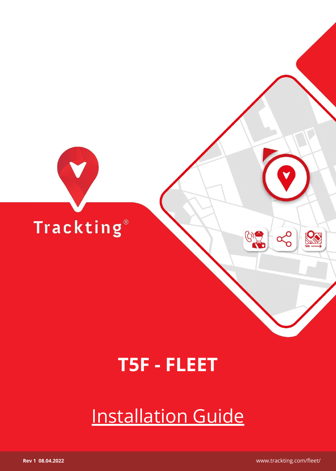

## **T5F - FLEET**

# Installation Guide

 **Rev 1 08.04.2022** www.trackting.com/fleet/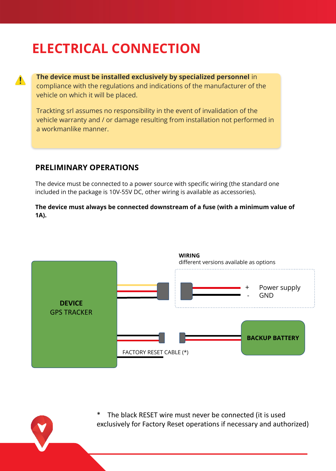### **ELECTRICAL CONNECTION**

**The device must be installed exclusively by specialized personnel** in compliance with the regulations and indications of the manufacturer of the vehicle on which it will be placed.

Trackting srl assumes no responsibility in the event of invalidation of the vehicle warranty and / or damage resulting from installation not performed in a workmanlike manner.

#### **PRELIMINARY OPERATIONS**

 $\mathbf{A}$ 

The device must be connected to a power source with specific wiring (the standard one included in the package is 10V-55V DC, other wiring is available as accessories).

**The device must always be connected downstream of a fuse (with a minimum value of 1A).**



The black RESET wire must never be connected (it is used exclusively for Factory Reset operations if necessary and authorized)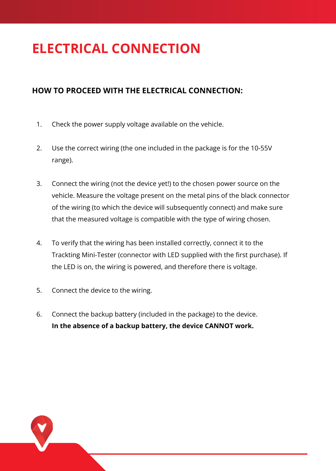### **ELECTRICAL CONNECTION**

### **HOW TO PROCEED WITH THE ELECTRICAL CONNECTION:**

- 1. Check the power supply voltage available on the vehicle.
- 2. Use the correct wiring (the one included in the package is for the 10-55V range).
- 3. Connect the wiring (not the device yet!) to the chosen power source on the vehicle. Measure the voltage present on the metal pins of the black connector of the wiring (to which the device will subsequently connect) and make sure that the measured voltage is compatible with the type of wiring chosen.
- 4. To verify that the wiring has been installed correctly, connect it to the Trackting Mini-Tester (connector with LED supplied with the first purchase). If the LED is on, the wiring is powered, and therefore there is voltage.
- 5. Connect the device to the wiring.
- 6. Connect the backup battery (included in the package) to the device. **In the absence of a backup battery, the device CANNOT work.**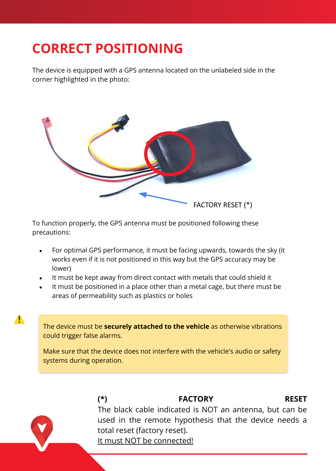## **CORRECT POSITIONING**

 $\blacktriangle$ 

The device is equipped with a GPS antenna located on the unlabeled side in the corner highlighted in the photo:



To function properly, the GPS antenna must be positioned following these precautions:

- For optimal GPS performance, it must be facing upwards, towards the sky (it works even if it is not positioned in this way but the GPS accuracy may be lower)
- It must be kept away from direct contact with metals that could shield it
- It must be positioned in a place other than a metal cage, but there must be areas of permeability such as plastics or holes

The device must be **securely attached to the vehicle** as otherwise vibrations could trigger false alarms.

Make sure that the device does not interfere with the vehicle's audio or safety systems during operation.

> **(\*) FACTORY RESET** The black cable indicated is NOT an antenna, but can be used in the remote hypothesis that the device needs a total reset (factory reset). It must NOT be connected!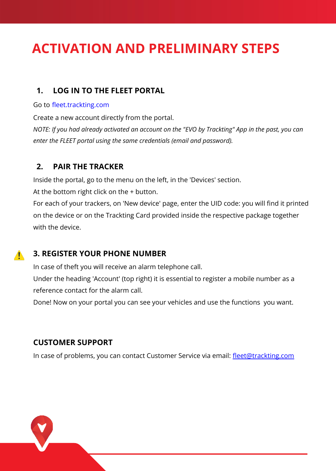### **ACTIVATION AND PRELIMINARY STEPS**

#### **1. LOG IN TO THE FLEET PORTAL**

#### Go to [fleet.trackting.com](https://fleet.trackting.com/)

Create a new account directly from the portal.

*NOTE: If you had already activated an account on the "EVO by Trackting" App in the past, you can enter the FLEET portal using the same credentials (email and password).*

### **2. PAIR THE TRACKER**

Inside the portal, go to the menu on the left, in the 'Devices' section.

At the bottom right click on the + button.

For each of your trackers, on 'New device' page, enter the UID code: you will find it printed on the device or on the Trackting Card provided inside the respective package together with the device.

### **3. REGISTER YOUR PHONE NUMBER**

In case of theft you will receive an alarm telephone call.

Under the heading 'Account' (top right) it is essential to register a mobile number as a reference contact for the alarm call.

Done! Now on your portal you can see your vehicles and use the functions you want.

#### **CUSTOMER SUPPORT**

 $\mathbf{A}$ 

In case of problems, you can contact Customer Service via email: [fleet@trackting.com](mailto:fleet@trackting.com)